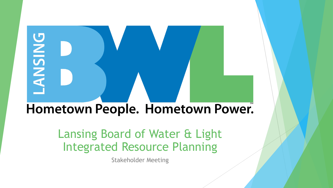# **PNISNA-**Hometown People. Hometown Power.

#### Lansing Board of Water & Light Integrated Resource Planning

Stakeholder Meeting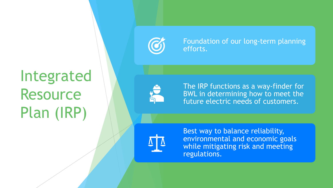# Integrated **Resource** Plan (IRP)



Foundation of our long -term planning efforts.

The IRP functions as a way -finder for BWL in determining how to meet the future electric needs of customers.

Best way to balance reliability, environmental and economic goals while mitigating risk and meeting regulations.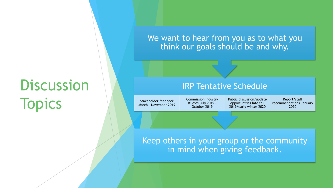## **Discussion Topics**

We want to hear from you as to what you think our goals should be and why.

#### IRP Tentative Schedule

Stakeholder feedback March – November 2019 Commission industry studies July 2019 - October 2019

Public discussion/update opportunities late fall 2019/early winter 2020

Report/staff recommendations January 2020

#### Keep others in your group or the community in mind when giving feedback.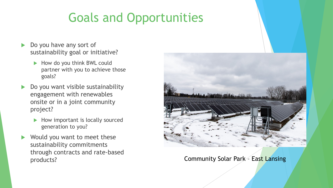### Goals and Opportunities

- Do you have any sort of sustainability goal or initiative?
	- $\blacktriangleright$  How do you think BWL could partner with you to achieve those goals?
- Do you want visible sustainability engagement with renewables onsite or in a joint community project?
	- $\blacktriangleright$  How important is locally sourced generation to you?
- Would you want to meet these sustainability commitments through contracts and rate-based



products? **Community Solar Park – East Lansing**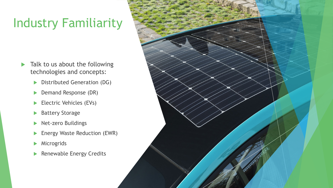## Industry Familiarity

- $\blacktriangleright$  Talk to us about the following technologies and concepts:
	- Distributed Generation (DG)
	- **Demand Response (DR)**
	- Electric Vehicles (EVs)
	- ▶ Battery Storage
	- Net-zero Buildings
	- **Energy Waste Reduction (EWR)**
	- **Microgrids**
	- Renewable Energy Credits

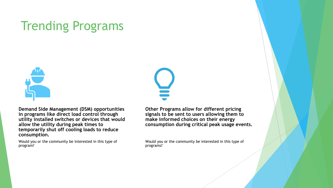#### Trending Programs



**Demand Side Management (DSM) opportunities in programs like direct load control through utility installed switches or devices that would allow the utility during peak times to temporarily shut off cooling loads to reduce consumption.**

Would you or the community be interested in this type of program?

**Other Programs allow for different pricing signals to be sent to users allowing them to make informed choices on their energy consumption during critical peak usage events.**

Would you or the community be interested in this type of programs?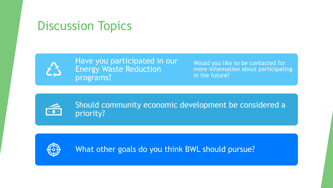#### Discussion Topics



Have you participated in our Energy Waste Reduction programs?

Would you like to be contacted for more information about participating in the future?



Should community economic development be considered a priority?



What other goals do you think BWL should pursue?